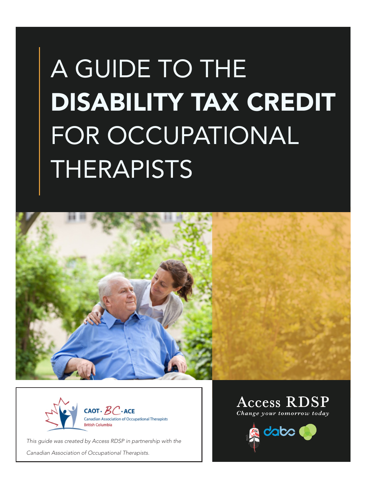# A GUIDE TO THE DISABILITY TAX CREDIT FOR OCCUPATIONAL THERAPISTS





*This guide was created by Access RDSP in partnership with the* 

*Canadian Association of Occupational Therapists.* 

**Access RDSP** Change your tomorrow today

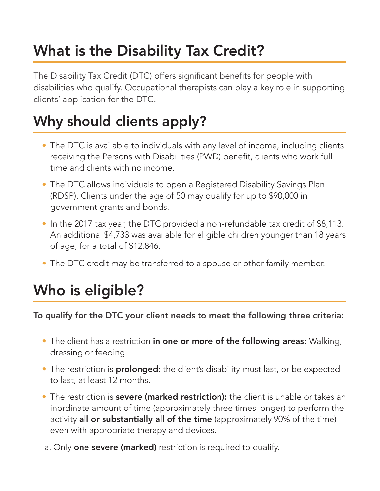### What is the Disability Tax Credit?

The Disability Tax Credit (DTC) offers significant benefits for people with disabilities who qualify. Occupational therapists can play a key role in supporting clients' application for the DTC.

### Why should clients apply?

- The DTC is available to individuals with any level of income, including clients receiving the Persons with Disabilities (PWD) benefit, clients who work full time and clients with no income.
- The DTC allows individuals to open a Registered Disability Savings Plan (RDSP). Clients under the age of 50 may qualify for up to \$90,000 in government grants and bonds.
- In the 2017 tax year, the DTC provided a non-refundable tax credit of \$8,113. An additional \$4,733 was available for eligible children younger than 18 years of age, for a total of \$12,846.
- The DTC credit may be transferred to a spouse or other family member.

### Who is eligible?

To qualify for the DTC your client needs to meet the following three criteria:

- The client has a restriction in one or more of the following areas: Walking, dressing or feeding.
- The restriction is **prolonged:** the client's disability must last, or be expected to last, at least 12 months.
- The restriction is **severe (marked restriction):** the client is unable or takes an inordinate amount of time (approximately three times longer) to perform the activity all or substantially all of the time (approximately 90% of the time) even with appropriate therapy and devices.
- a. Only **one severe (marked)** restriction is required to qualify.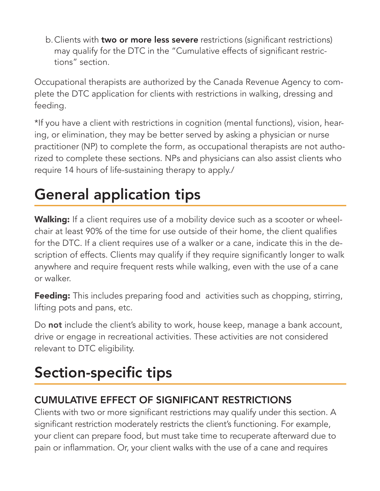b. Clients with two or more less severe restrictions (significant restrictions) may qualify for the DTC in the "Cumulative effects of significant restrictions" section.

Occupational therapists are authorized by the Canada Revenue Agency to complete the DTC application for clients with restrictions in walking, dressing and feeding.

\*If you have a client with restrictions in cognition (mental functions), vision, hearing, or elimination, they may be better served by asking a physician or nurse practitioner (NP) to complete the form, as occupational therapists are not authorized to complete these sections. NPs and physicians can also assist clients who require 14 hours of life-sustaining therapy to apply./

### General application tips

Walking: If a client requires use of a mobility device such as a scooter or wheelchair at least 90% of the time for use outside of their home, the client qualifies for the DTC. If a client requires use of a walker or a cane, indicate this in the description of effects. Clients may qualify if they require significantly longer to walk anywhere and require frequent rests while walking, even with the use of a cane or walker.

**Feeding:** This includes preparing food and activities such as chopping, stirring, lifting pots and pans, etc.

Do not include the client's ability to work, house keep, manage a bank account, drive or engage in recreational activities. These activities are not considered relevant to DTC eligibility.

### Section-specific tips

#### CUMULATIVE EFFECT OF SIGNIFICANT RESTRICTIONS

Clients with two or more significant restrictions may qualify under this section. A significant restriction moderately restricts the client's functioning. For example, your client can prepare food, but must take time to recuperate afterward due to pain or inflammation. Or, your client walks with the use of a cane and requires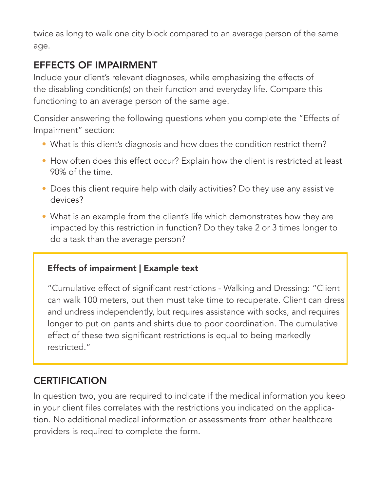twice as long to walk one city block compared to an average person of the same age.

#### EFFECTS OF IMPAIRMENT

Include your client's relevant diagnoses, while emphasizing the effects of the disabling condition(s) on their function and everyday life. Compare this functioning to an average person of the same age.

Consider answering the following questions when you complete the "Effects of Impairment" section:

- What is this client's diagnosis and how does the condition restrict them?
- How often does this effect occur? Explain how the client is restricted at least 90% of the time.
- Does this client require help with daily activities? Do they use any assistive devices?
- What is an example from the client's life which demonstrates how they are impacted by this restriction in function? Do they take 2 or 3 times longer to do a task than the average person?

#### Effects of impairment | Example text

"Cumulative effect of significant restrictions - Walking and Dressing: "Client can walk 100 meters, but then must take time to recuperate. Client can dress and undress independently, but requires assistance with socks, and requires longer to put on pants and shirts due to poor coordination. The cumulative effect of these two significant restrictions is equal to being markedly restricted."

#### **CERTIFICATION**

In question two, you are required to indicate if the medical information you keep in your client files correlates with the restrictions you indicated on the application. No additional medical information or assessments from other healthcare providers is required to complete the form.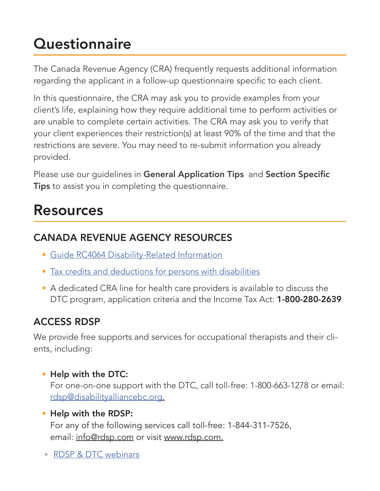### **Questionnaire**

The Canada Revenue Agency (CRA) frequently requests additional information regarding the applicant in a follow-up questionnaire specific to each client.

In this questionnaire, the CRA may ask you to provide examples from your client's life, explaining how they require additional time to perform activities or are unable to complete certain activities. The CRA may ask you to verify that your client experiences their restriction(s) at least 90% of the time and that the restrictions are severe. You may need to re-submit information you already provided.

Please use our guidelines in General Application Tips and Section Specific **Tips** to assist you in completing the questionnaire.

### Resources

#### CANADA REVENUE AGENCY RESOURCES

- Guide RC4064 Disability-Related Information
- Tax credits and deductions for persons with disabilities
- A dedicated CRA line for health care providers is available to discuss the DTC program, application criteria and the Income Tax Act: 1-800-280-2639

#### ACCESS RDSP

We provide free supports and services for occupational therapists and their clients, including:

• Help with the DTC:

For one-on-one support with the DTC, call toll-free: 1-800-663-1278 or email: rdsp@disabilityalliancebc.org.

- Help with the RDSP: For any of the following services call toll-free: 1-844-311-7526, email: info@rdsp.com or visit www.rdsp.com.
- RDSP & DTC webinars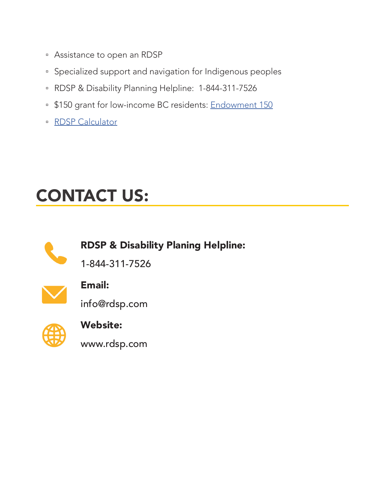- Assistance to open an RDSP
- Specialized support and navigation for Indigenous peoples
- RDSP & Disability Planning Helpline: 1-844-311-7526
- \$150 grant for low-income BC residents: Endowment 150
- RDSP Calculator

### CONTACT US:



RDSP & Disability Planing Helpline:

1-844-311-7526



#### Email:

info@rdsp.com



## Website:

www.rdsp.com